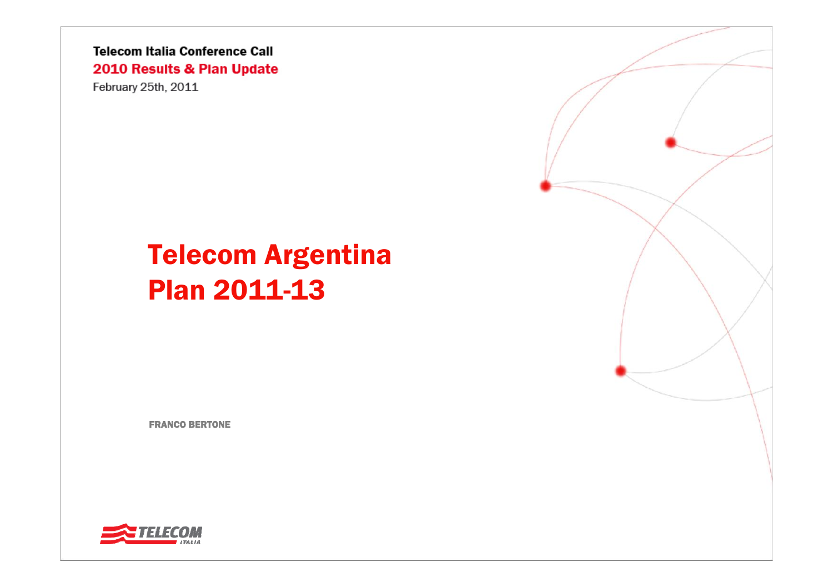February 25th, 2011

# Telecom Argentina Plan 2011-13

FRANCO BERTONE



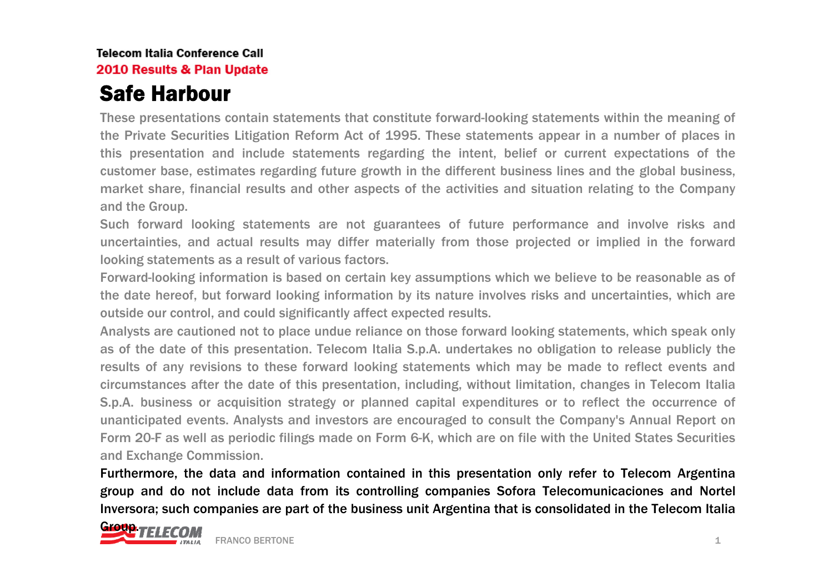## Safe Harbour

These presentations contain statements that constitute forward-looking statements within the meaning of the Private Securities Litigation Reform Act of 1995. These statements appear in a number of places in this presentation and include statements regarding the intent, belief or current expectations of the customer base, estimates regarding future growth in the different business lines and the global business, market share, financial results and other aspects of the activities and situation relating to the Company and the Group.

Such forward looking statements are not guarantees of future performance and involve risks and uncertainties, and actual results may differ materially from those projected or implied in the forward looking statements as a result of various factors.

Forward-looking information is based on certain key assumptions which we believe to be reasonable as of the date hereof, but forward looking information by its nature involves risks and uncertainties, which are outside our control, and could significantly affect expected results.

Analysts are cautioned not to place undue reliance on those forward looking statements, which speak only as of the date of this presentation. Telecom Italia S.p.A. undertakes no obligation to release publicly the results of any revisions to these forward looking statements which may be made to reflect events and circumstances after the date of this presentation, including, without limitation, changes in Telecom Italia S.p.A. business or acquisition strategy or planned capital expenditures or to reflect the occurrence of unanticipated events. Analysts and investors are encouraged to consult the Company's Annual Report on Form 20-F as well as periodic filings made on Form 6-K, which are on file with the United States Securities and Exchange Commission.

Furthermore, the data and information contained in this presentation only refer to Telecom Argentina group and do not include data from its controlling companies Sofora Telecomunicaciones and Nortel Inversora; such companies are part of the business unit Argentina that is consolidated in the Telecom Italia

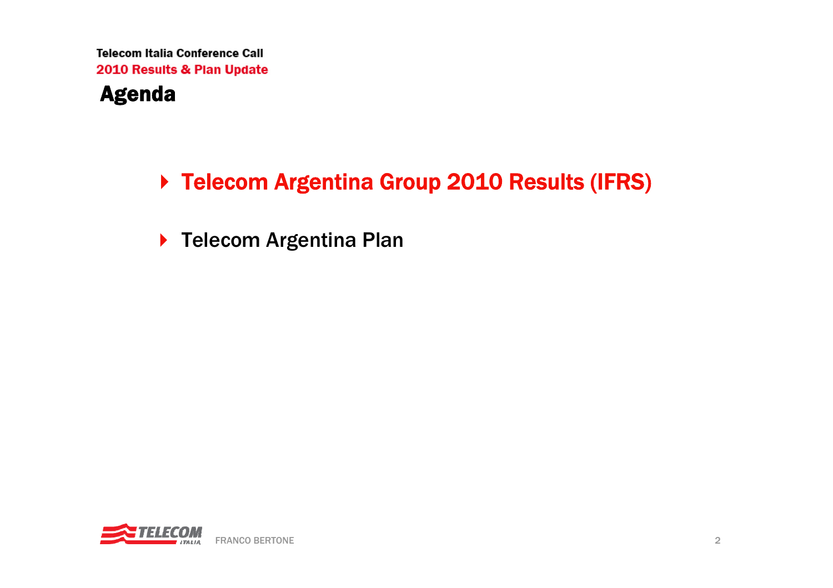### Agenda

## ▶ Telecom Argentina Group 2010 Results (IFRS)

▶ Telecom Argentina Plan

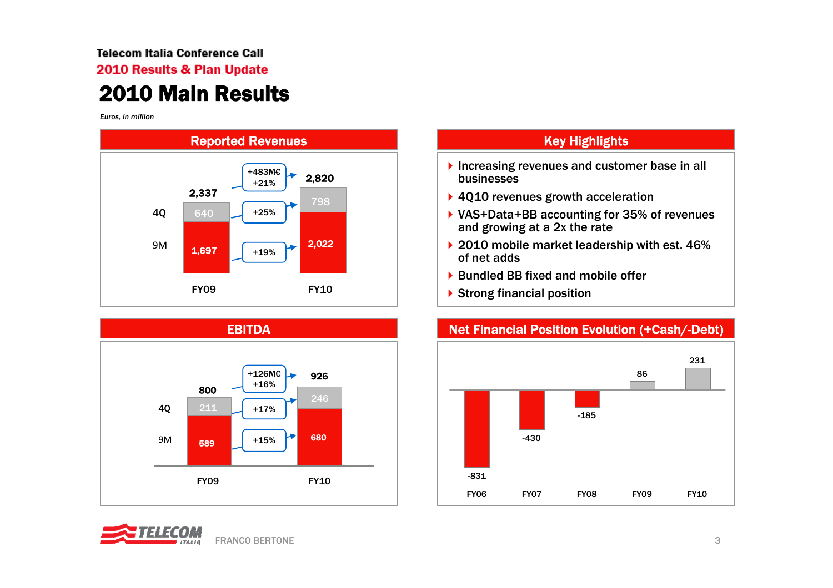### **Telecom Italia Conference Call** 2010 Results & Plan Update 2010 Main Results

*Euros, in million*





- Increasing revenues and customer base in all businesses
- ▶ 4010 revenues growth acceleration
- ▶ VAS+Data+BB accounting for 35% of revenues and growing at a 2x the rate
- ▶ 2010 mobile market leadership with est. 46% of net adds
- ▶ Bundled BB fixed and mobile offer
- ▶ Strong financial position



#### Net Financial Position Evolution (+Cash/-Debt)

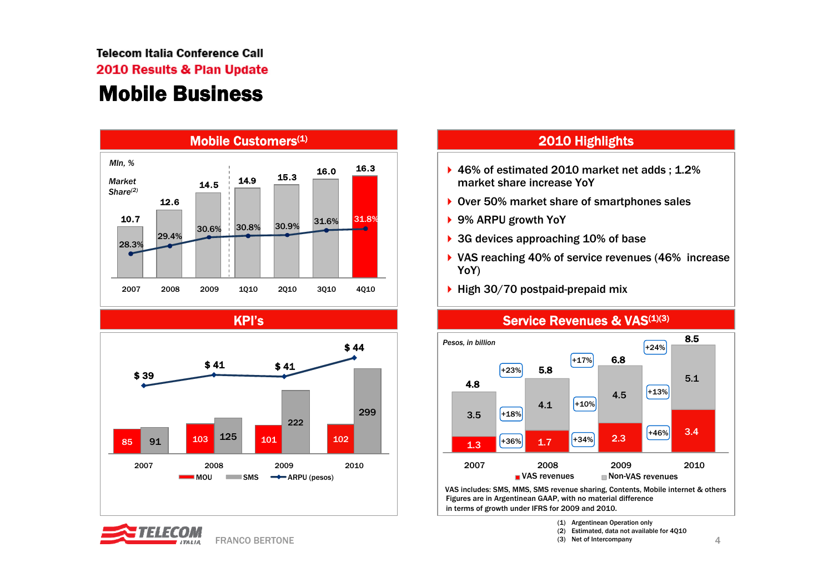#### **Telecom Italia Conference Call** 2010 Results & Plan Update Mobile Business



KPI's



FRANCO BERTONE

- $\blacktriangleright$  46% of estimated 2010 market net adds; 1.2% market share increase YoY
- ▶ Over 50% market share of smartphones sales
- ▶ 9% ARPU growth YoY
- **▶ 3G devices approaching 10% of base**
- VAS reaching 40% of service revenues (46% increase YoY)
- $\blacktriangleright$  High 30/70 postpaid-prepaid mix

in terms of growth under IFRS for 2009 and 2010.



#### Service Revenues & VAS<sup>(1)(3)</sup>

(1) Argentinean Operation only

- (2) Estimated, data not available for 4Q10
- 4(3) Net of Intercompany

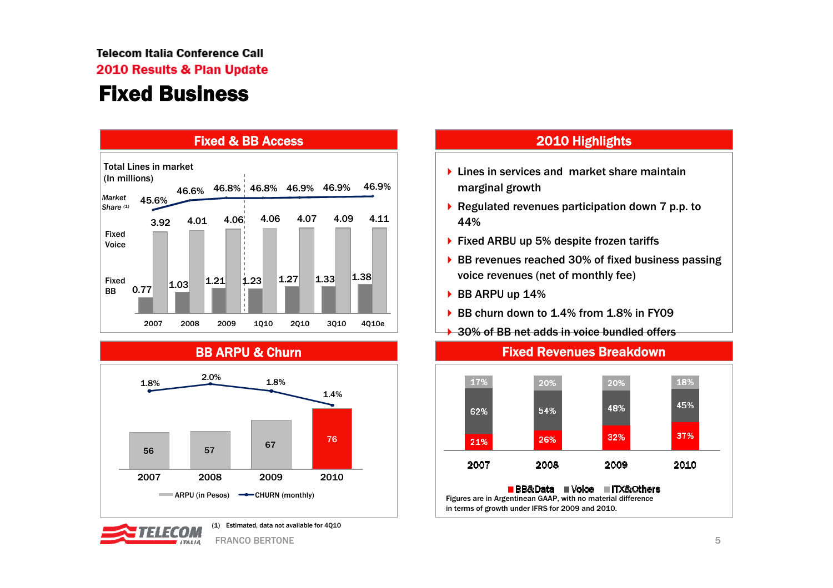2010 Results & Plan Update

### Fixed Business



BB ARPU & Churn





(1) Estimated, data not available for 4Q10

FRANCO BERTONEEstados de la contrada de la contrada de la contrada de la contrada de la contrada de la contrada de la contrad<br>En la contrada de la contrada de la contrada de la contrada de la contrada de la contrada de la contrada de la

#### 2010 Highlights

- marginal growth
- ▶ Regulated revenues participation down 7 p.p. to 44%
- ▶ Fixed ARBU up 5% despite frozen tariffs
- ▶ BB revenues reached 30% of fixed business passing voice revenues (net of monthly fee)

Fixed Revenues Breakdown

- ▶ BB ARPU up 14%
- ▶ BB churn down to 1.4% from 1.8% in FY09
- **→ 30% of BB net adds in voice bundled offers**



Figures are in Argentinean GAAP, with no material difference in terms of growth under IFRS for 2009 and 2010.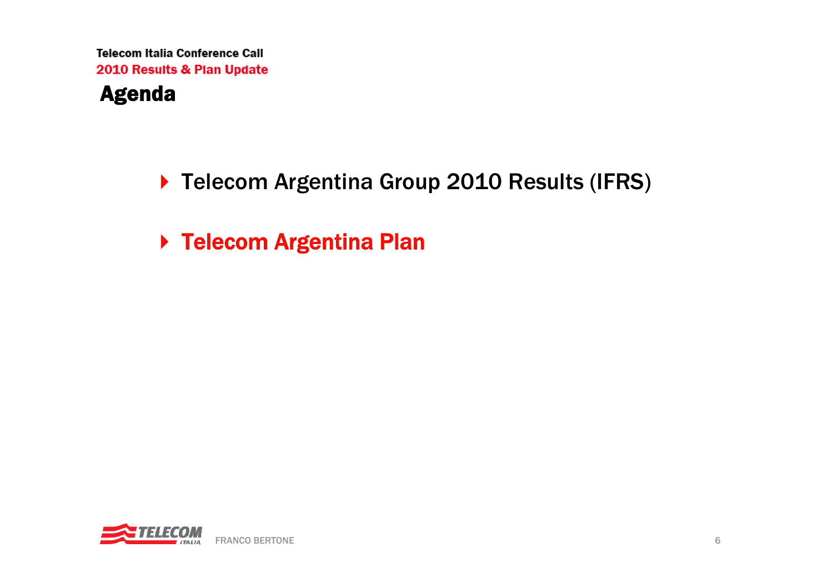### Agenda

▶ Telecom Argentina Group 2010 Results (IFRS)

▶ Telecom Argentina Plan

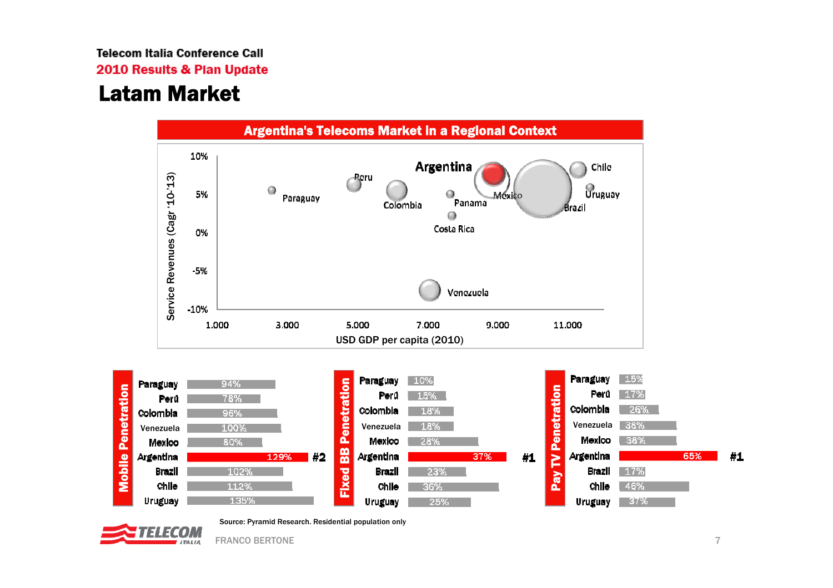2010 Results & Plan Update

### Latam Market





FRANCO BERTONEE and the contract of the contract of the contract of the contract of the contract of the contract of the contract of the contract of the contract of the contract of the contract of the contract of the contract of the cont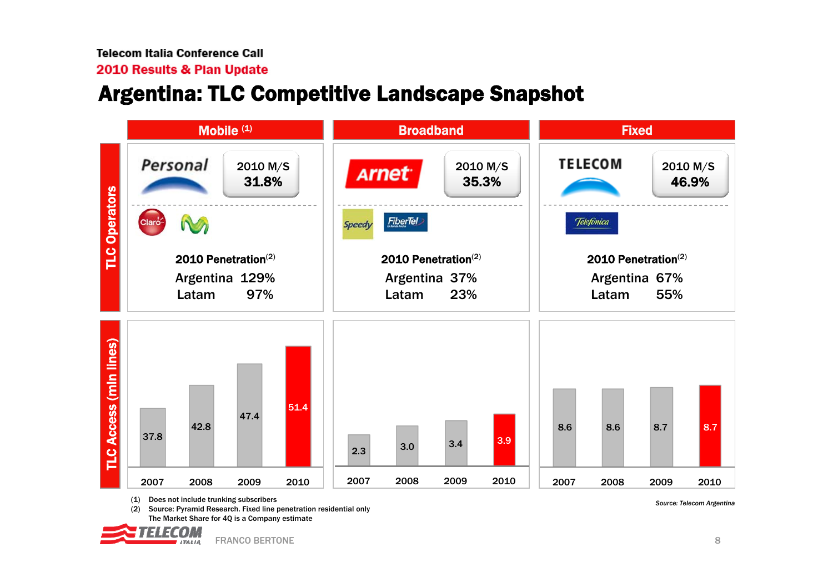#### 2010 Results & Plan Update

### Argentina: TLC Competitive Landscape Snapshot



*Source: Telecom Argentina* (1) Does not include trunking subscribers (2) Source: Pyramid Research. Fixed line penetration residential only The Market Share for 4Q is a Company estimate

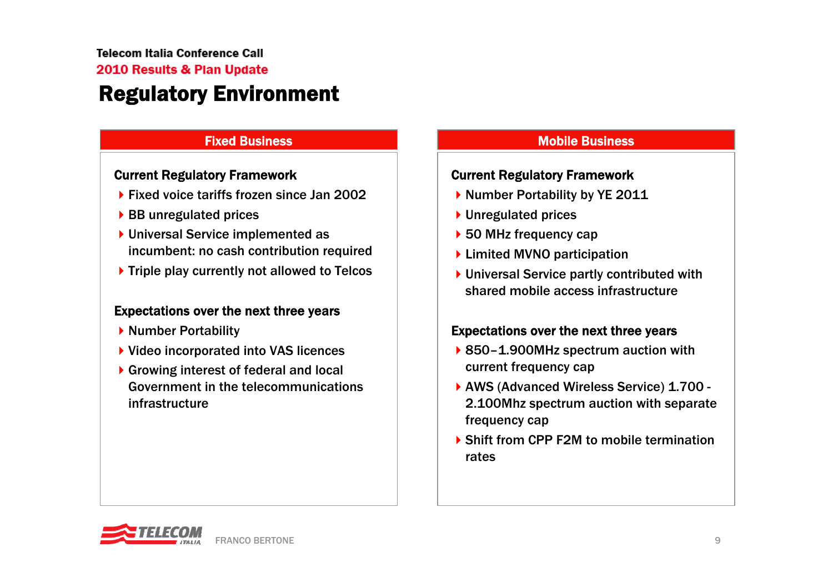#### **Telecom Italia Conference Call** 2010 Results & Plan Update Regulatory Environment

#### Fixed Business

#### Current Regulatory Framework

- ▶ Fixed voice tariffs frozen since Jan 2002
- ▶ BB unregulated prices
- ▶ Universal Service implemented as incumbent: no cash contribution required
- ▶ Triple play currently not allowed to Telcos

#### Expectations over the next three years

- ▶ Number Portability
- ▶ Video incorporated into VAS licences
- ▶ Growing interest of federal and local Government in the telecommunications infrastructure

#### Mobile Business

#### Current Regulatory Framework

- ▶ Number Portability by YE 2011
- ▶ Unregulated prices
- ▶ 50 MHz frequency cap
- ▶ Limited MVNO participation
- ▶ Universal Service partly contributed with shared mobile access infrastructure

#### Expectations over the next three years

- ▶ 850–1.900MHz spectrum auction with current frequency cap
- ▶ AWS (Advanced Wireless Service) 1.700 -2.100Mhz spectrum auction with separate frequency cap
- ▶ Shift from CPP F2M to mobile termination rates

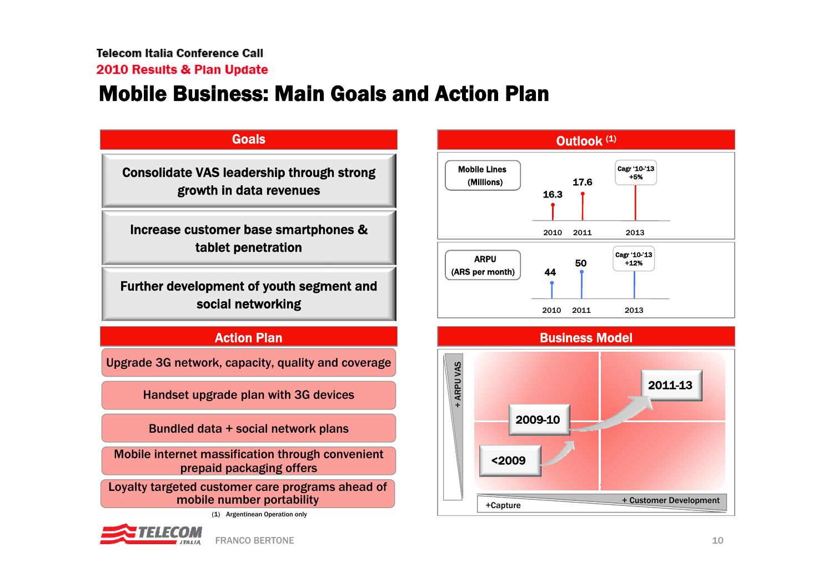### Mobile Business: Main Goals and Action Plan



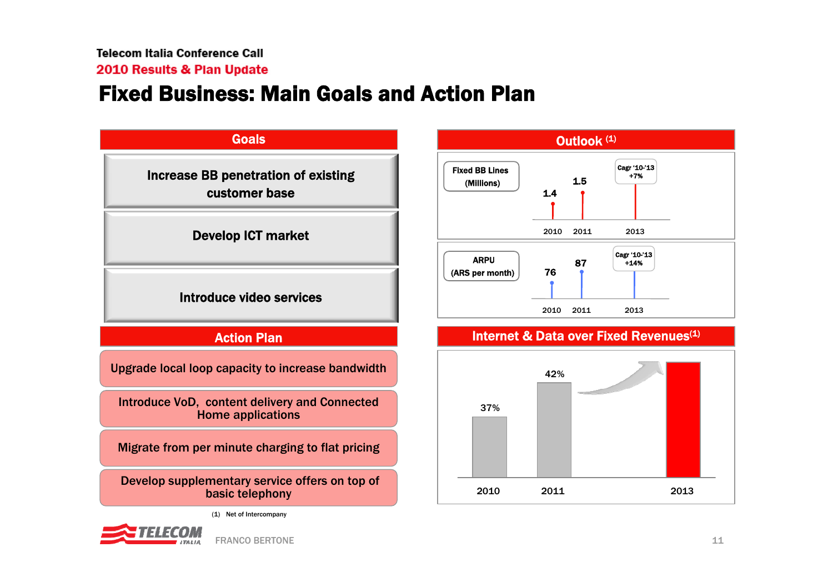### Fixed Business: Main Goals and Action Plan



**JTSIIS**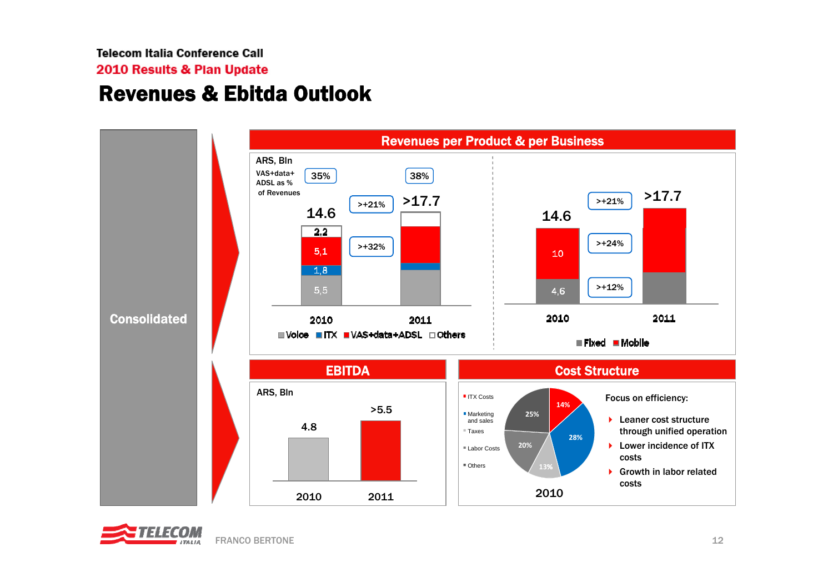2010 Results & Plan Update

### Revenues & Ebitda Outlook



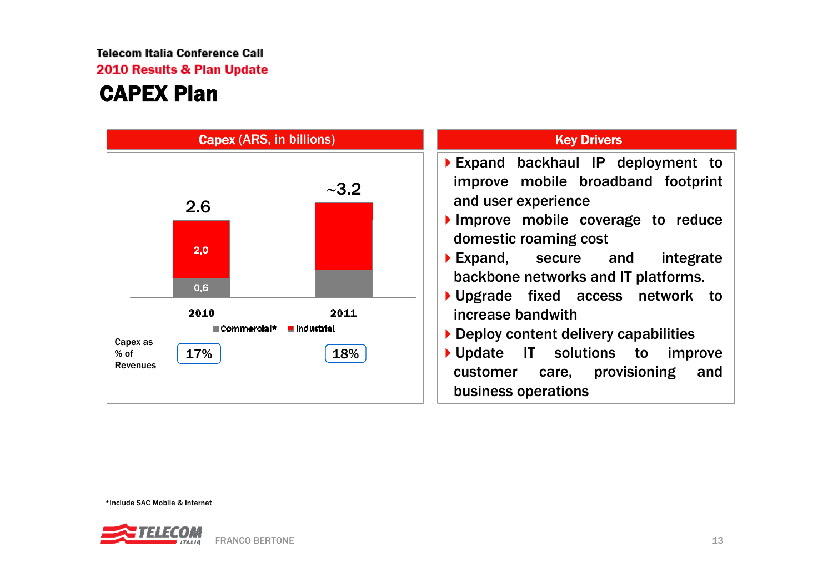2010 Results & Plan Update

### CAPEX Plan



\*Include SAC Mobile & Internet

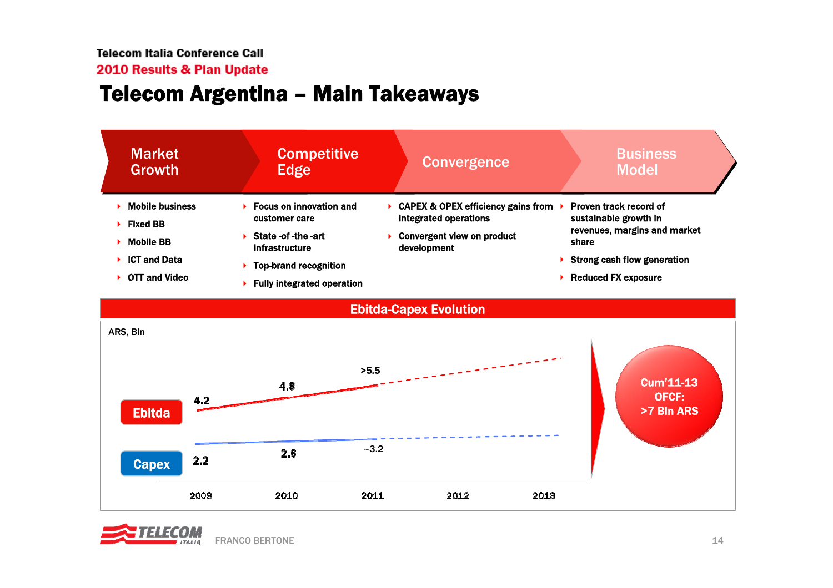### Telecom Argentina – Main Takeaways

| <b>Market</b><br><b>Growth</b> | <b>Competitive</b><br>Edge                      | <b>Convergence</b>                                                     | <b>Business</b><br><b>Model</b>                 |  |
|--------------------------------|-------------------------------------------------|------------------------------------------------------------------------|-------------------------------------------------|--|
| <b>Mobile business</b>         | <b>Focus on innovation and</b><br>customer care | <b>CAPEX &amp; OPEX efficiency gains from</b><br>integrated operations | Proven track record of<br>sustainable growth in |  |
| <b>Fixed BB</b>                |                                                 |                                                                        | revenues, margins and market                    |  |
| <b>Mobile BB</b>               | State -of -the -art<br>infrastructure           | <b>Convergent view on product</b><br>development                       | share                                           |  |
| <b>ICT and Data</b>            | <b>Top-brand recognition</b>                    |                                                                        | <b>Strong cash flow generation</b>              |  |
| <b>OTT and Video</b>           | <b>Fully integrated operation</b>               |                                                                        | <b>Reduced FX exposure</b>                      |  |
|                                |                                                 |                                                                        |                                                 |  |



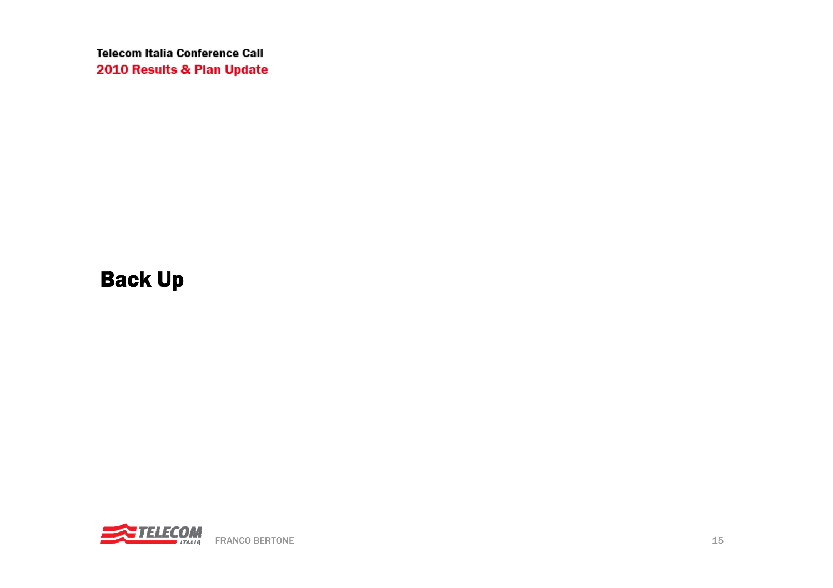Back Up

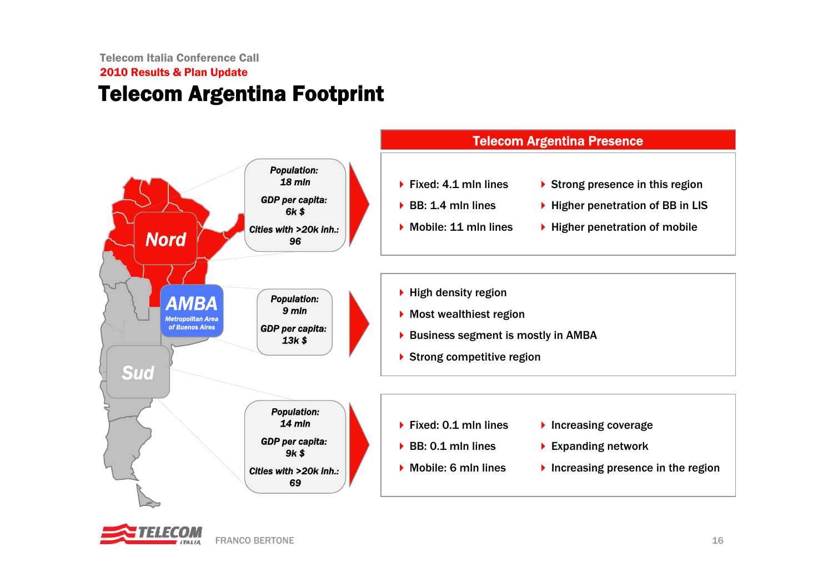### 2010 Results & Plan Update Telecom Argentina Footprint